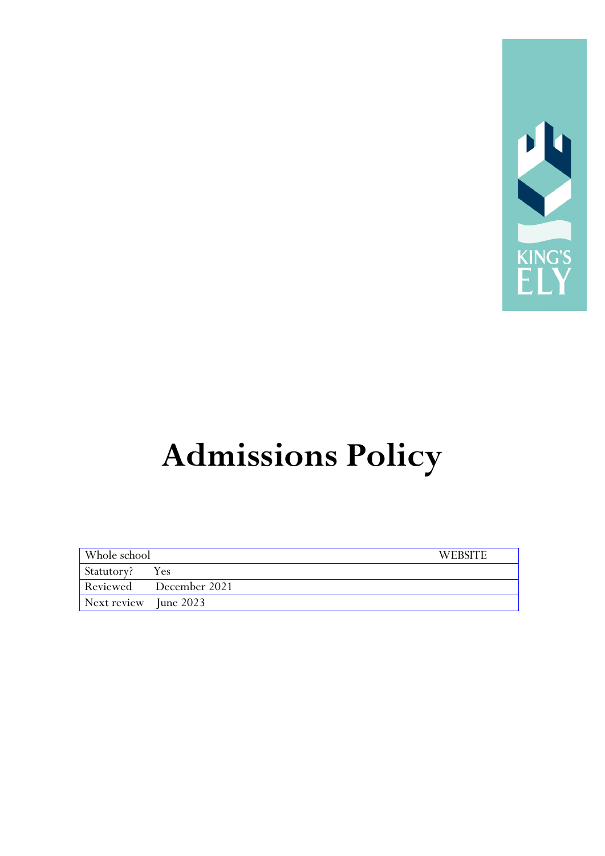

# **Admissions Policy**

| Whole school          |                        | <b>WEBSITE</b> |
|-----------------------|------------------------|----------------|
| Statutory? Yes        |                        |                |
|                       | Reviewed December 2021 |                |
| Next review June 2023 |                        |                |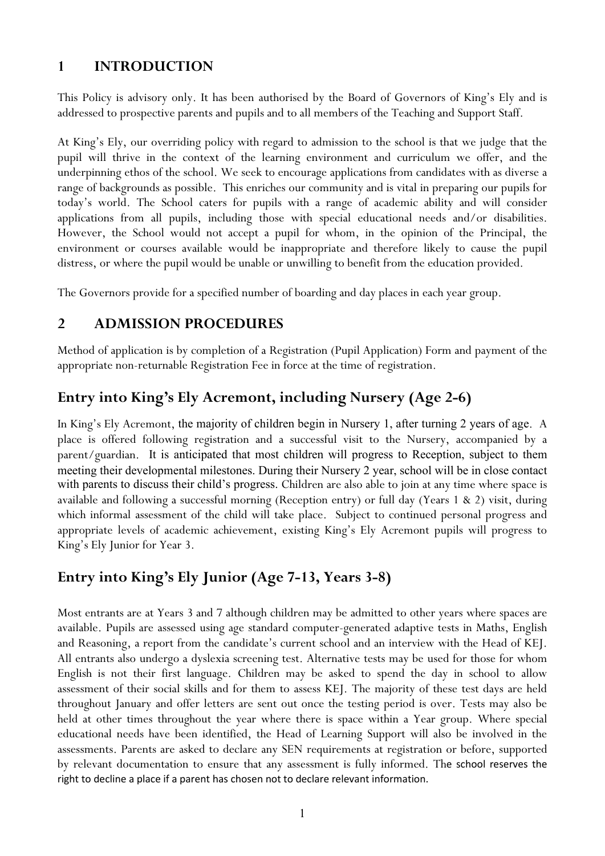### **1 INTRODUCTION**

This Policy is advisory only. It has been authorised by the Board of Governors of King's Ely and is addressed to prospective parents and pupils and to all members of the Teaching and Support Staff.

At King's Ely, our overriding policy with regard to admission to the school is that we judge that the pupil will thrive in the context of the learning environment and curriculum we offer, and the underpinning ethos of the school. We seek to encourage applications from candidates with as diverse a range of backgrounds as possible. This enriches our community and is vital in preparing our pupils for today's world. The School caters for pupils with a range of academic ability and will consider applications from all pupils, including those with special educational needs and/or disabilities. However, the School would not accept a pupil for whom, in the opinion of the Principal, the environment or courses available would be inappropriate and therefore likely to cause the pupil distress, or where the pupil would be unable or unwilling to benefit from the education provided.

The Governors provide for a specified number of boarding and day places in each year group.

#### **2 ADMISSION PROCEDURES**

Method of application is by completion of a Registration (Pupil Application) Form and payment of the appropriate non-returnable Registration Fee in force at the time of registration.

## **Entry into King's Ely Acremont, including Nursery (Age 2-6)**

In King's Ely Acremont, the majority of children begin in Nursery 1, after turning 2 years of age. A place is offered following registration and a successful visit to the Nursery, accompanied by a parent/guardian. It is anticipated that most children will progress to Reception, subject to them meeting their developmental milestones. During their Nursery 2 year, school will be in close contact with parents to discuss their child's progress. Children are also able to join at any time where space is available and following a successful morning (Reception entry) or full day (Years 1 & 2) visit, during which informal assessment of the child will take place. Subject to continued personal progress and appropriate levels of academic achievement, existing King's Ely Acremont pupils will progress to King's Ely Junior for Year 3.

### **Entry into King's Ely Junior (Age 7-13, Years 3-8)**

Most entrants are at Years 3 and 7 although children may be admitted to other years where spaces are available. Pupils are assessed using age standard computer-generated adaptive tests in Maths, English and Reasoning, a report from the candidate's current school and an interview with the Head of KEJ. All entrants also undergo a dyslexia screening test. Alternative tests may be used for those for whom English is not their first language. Children may be asked to spend the day in school to allow assessment of their social skills and for them to assess KEJ. The majority of these test days are held throughout January and offer letters are sent out once the testing period is over. Tests may also be held at other times throughout the year where there is space within a Year group. Where special educational needs have been identified, the Head of Learning Support will also be involved in the assessments. Parents are asked to declare any SEN requirements at registration or before, supported by relevant documentation to ensure that any assessment is fully informed. The school reserves the right to decline a place if a parent has chosen not to declare relevant information.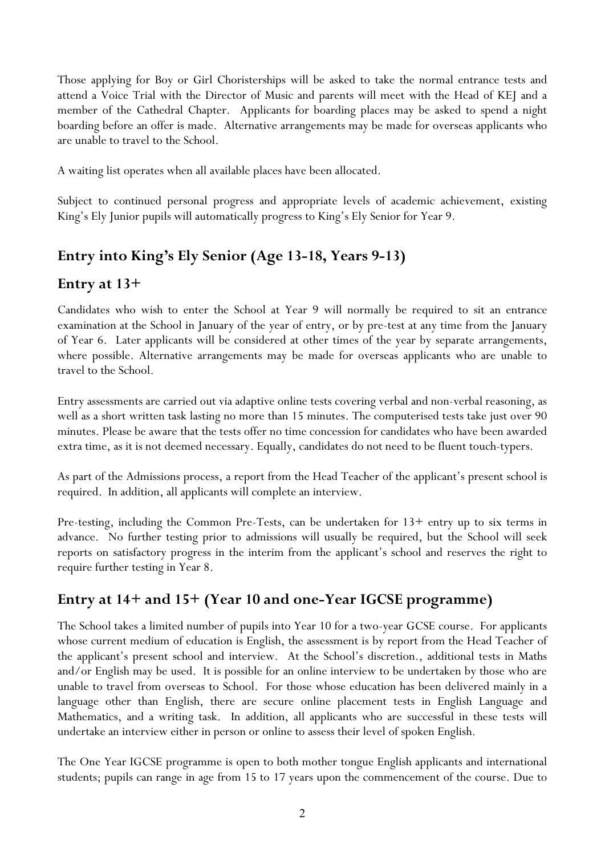Those applying for Boy or Girl Choristerships will be asked to take the normal entrance tests and attend a Voice Trial with the Director of Music and parents will meet with the Head of KEJ and a member of the Cathedral Chapter. Applicants for boarding places may be asked to spend a night boarding before an offer is made. Alternative arrangements may be made for overseas applicants who are unable to travel to the School.

A waiting list operates when all available places have been allocated.

Subject to continued personal progress and appropriate levels of academic achievement, existing King's Ely Junior pupils will automatically progress to King's Ely Senior for Year 9.

## **Entry into King's Ely Senior (Age 13-18, Years 9-13)**

### **Entry at 13+**

Candidates who wish to enter the School at Year 9 will normally be required to sit an entrance examination at the School in January of the year of entry, or by pre-test at any time from the January of Year 6. Later applicants will be considered at other times of the year by separate arrangements, where possible. Alternative arrangements may be made for overseas applicants who are unable to travel to the School.

Entry assessments are carried out via adaptive online tests covering verbal and non-verbal reasoning, as well as a short written task lasting no more than 15 minutes. The computerised tests take just over 90 minutes. Please be aware that the tests offer no time concession for candidates who have been awarded extra time, as it is not deemed necessary. Equally, candidates do not need to be fluent touch-typers.

As part of the Admissions process, a report from the Head Teacher of the applicant's present school is required. In addition, all applicants will complete an interview.

Pre-testing, including the Common Pre-Tests, can be undertaken for 13+ entry up to six terms in advance. No further testing prior to admissions will usually be required, but the School will seek reports on satisfactory progress in the interim from the applicant's school and reserves the right to require further testing in Year 8.

## **Entry at 14+ and 15+ (Year 10 and one-Year IGCSE programme)**

The School takes a limited number of pupils into Year 10 for a two-year GCSE course. For applicants whose current medium of education is English, the assessment is by report from the Head Teacher of the applicant's present school and interview. At the School's discretion., additional tests in Maths and/or English may be used. It is possible for an online interview to be undertaken by those who are unable to travel from overseas to School. For those whose education has been delivered mainly in a language other than English, there are secure online placement tests in English Language and Mathematics, and a writing task. In addition, all applicants who are successful in these tests will undertake an interview either in person or online to assess their level of spoken English.

The One Year IGCSE programme is open to both mother tongue English applicants and international students; pupils can range in age from 15 to 17 years upon the commencement of the course. Due to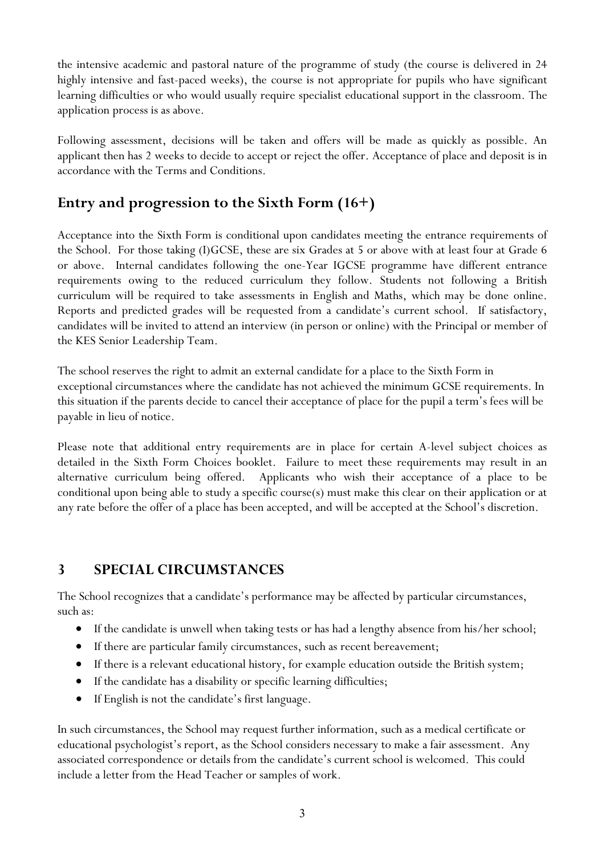the intensive academic and pastoral nature of the programme of study (the course is delivered in 24 highly intensive and fast-paced weeks), the course is not appropriate for pupils who have significant learning difficulties or who would usually require specialist educational support in the classroom. The application process is as above.

Following assessment, decisions will be taken and offers will be made as quickly as possible. An applicant then has 2 weeks to decide to accept or reject the offer. Acceptance of place and deposit is in accordance with the Terms and Conditions.

## **Entry and progression to the Sixth Form (16+)**

Acceptance into the Sixth Form is conditional upon candidates meeting the entrance requirements of the School. For those taking (I)GCSE, these are six Grades at 5 or above with at least four at Grade 6 or above. Internal candidates following the one-Year IGCSE programme have different entrance requirements owing to the reduced curriculum they follow. Students not following a British curriculum will be required to take assessments in English and Maths, which may be done online. Reports and predicted grades will be requested from a candidate's current school. If satisfactory, candidates will be invited to attend an interview (in person or online) with the Principal or member of the KES Senior Leadership Team.

The school reserves the right to admit an external candidate for a place to the Sixth Form in exceptional circumstances where the candidate has not achieved the minimum GCSE requirements. In this situation if the parents decide to cancel their acceptance of place for the pupil a term's fees will be payable in lieu of notice.

Please note that additional entry requirements are in place for certain A-level subject choices as detailed in the Sixth Form Choices booklet. Failure to meet these requirements may result in an alternative curriculum being offered. Applicants who wish their acceptance of a place to be conditional upon being able to study a specific course(s) must make this clear on their application or at any rate before the offer of a place has been accepted, and will be accepted at the School's discretion.

### **3 SPECIAL CIRCUMSTANCES**

The School recognizes that a candidate's performance may be affected by particular circumstances, such as:

- If the candidate is unwell when taking tests or has had a lengthy absence from his/her school;
- If there are particular family circumstances, such as recent bereavement;
- If there is a relevant educational history, for example education outside the British system;
- If the candidate has a disability or specific learning difficulties;
- If English is not the candidate's first language.

In such circumstances, the School may request further information, such as a medical certificate or educational psychologist's report, as the School considers necessary to make a fair assessment. Any associated correspondence or details from the candidate's current school is welcomed. This could include a letter from the Head Teacher or samples of work.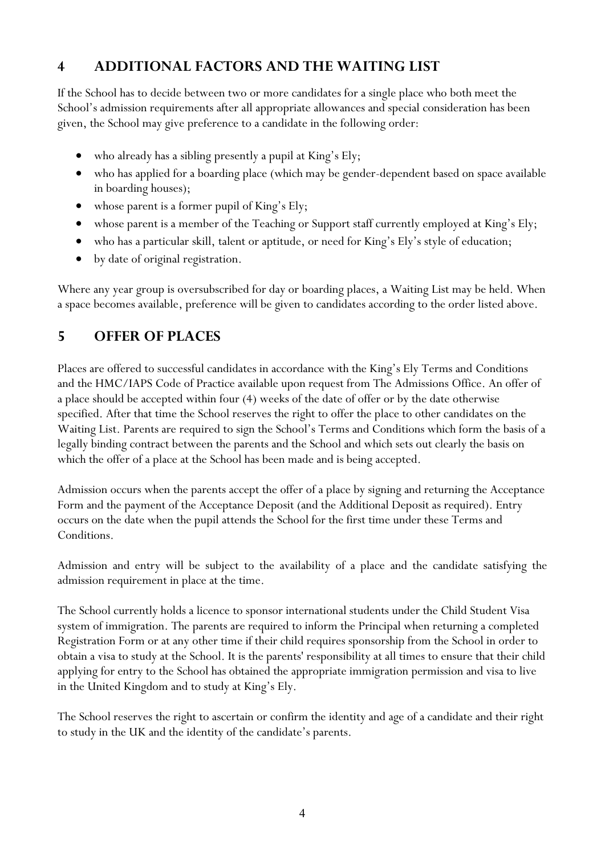## **4 ADDITIONAL FACTORS AND THE WAITING LIST**

If the School has to decide between two or more candidates for a single place who both meet the School's admission requirements after all appropriate allowances and special consideration has been given, the School may give preference to a candidate in the following order:

- who already has a sibling presently a pupil at King's Ely;
- who has applied for a boarding place (which may be gender-dependent based on space available in boarding houses);
- whose parent is a former pupil of King's Ely;
- whose parent is a member of the Teaching or Support staff currently employed at King's Ely;
- who has a particular skill, talent or aptitude, or need for King's Ely's style of education;
- by date of original registration.

Where any year group is oversubscribed for day or boarding places, a Waiting List may be held. When a space becomes available, preference will be given to candidates according to the order listed above.

## **5 OFFER OF PLACES**

Places are offered to successful candidates in accordance with the King's Ely Terms and Conditions and the HMC/IAPS Code of Practice available upon request from The Admissions Office. An offer of a place should be accepted within four (4) weeks of the date of offer or by the date otherwise specified. After that time the School reserves the right to offer the place to other candidates on the Waiting List. Parents are required to sign the School's Terms and Conditions which form the basis of a legally binding contract between the parents and the School and which sets out clearly the basis on which the offer of a place at the School has been made and is being accepted.

Admission occurs when the parents accept the offer of a place by signing and returning the Acceptance Form and the payment of the Acceptance Deposit (and the Additional Deposit as required). Entry occurs on the date when the pupil attends the School for the first time under these Terms and Conditions.

Admission and entry will be subject to the availability of a place and the candidate satisfying the admission requirement in place at the time.

The School currently holds a licence to sponsor international students under the Child Student Visa system of immigration. The parents are required to inform the Principal when returning a completed Registration Form or at any other time if their child requires sponsorship from the School in order to obtain a visa to study at the School. It is the parents' responsibility at all times to ensure that their child applying for entry to the School has obtained the appropriate immigration permission and visa to live in the United Kingdom and to study at King's Ely.

The School reserves the right to ascertain or confirm the identity and age of a candidate and their right to study in the UK and the identity of the candidate's parents.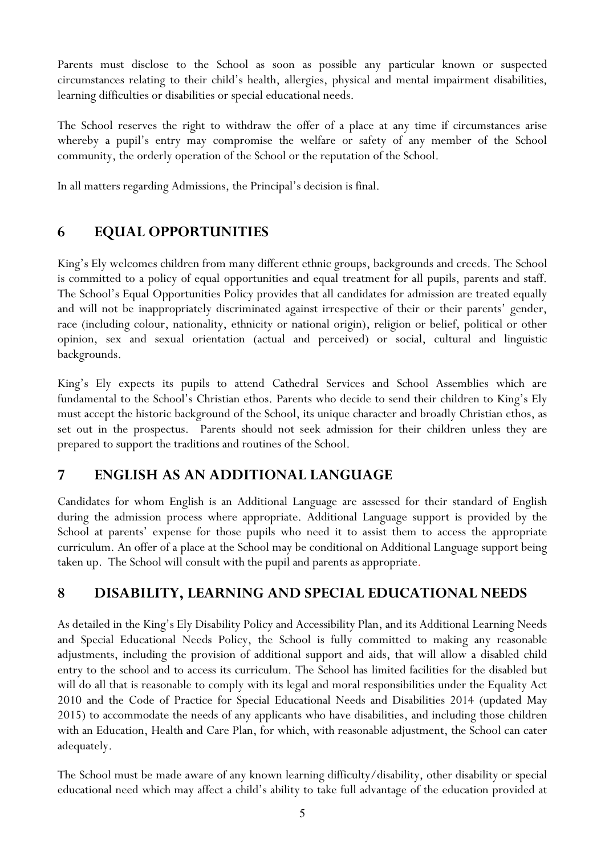Parents must disclose to the School as soon as possible any particular known or suspected circumstances relating to their child's health, allergies, physical and mental impairment disabilities, learning difficulties or disabilities or special educational needs.

The School reserves the right to withdraw the offer of a place at any time if circumstances arise whereby a pupil's entry may compromise the welfare or safety of any member of the School community, the orderly operation of the School or the reputation of the School.

In all matters regarding Admissions, the Principal's decision is final.

## **6 EQUAL OPPORTUNITIES**

King's Ely welcomes children from many different ethnic groups, backgrounds and creeds. The School is committed to a policy of equal opportunities and equal treatment for all pupils, parents and staff. The School's Equal Opportunities Policy provides that all candidates for admission are treated equally and will not be inappropriately discriminated against irrespective of their or their parents' gender, race (including colour, nationality, ethnicity or national origin), religion or belief, political or other opinion, sex and sexual orientation (actual and perceived) or social, cultural and linguistic backgrounds.

King's Ely expects its pupils to attend Cathedral Services and School Assemblies which are fundamental to the School's Christian ethos. Parents who decide to send their children to King's Ely must accept the historic background of the School, its unique character and broadly Christian ethos, as set out in the prospectus. Parents should not seek admission for their children unless they are prepared to support the traditions and routines of the School.

## **7 ENGLISH AS AN ADDITIONAL LANGUAGE**

Candidates for whom English is an Additional Language are assessed for their standard of English during the admission process where appropriate. Additional Language support is provided by the School at parents' expense for those pupils who need it to assist them to access the appropriate curriculum. An offer of a place at the School may be conditional on Additional Language support being taken up. The School will consult with the pupil and parents as appropriate.

### **8 DISABILITY, LEARNING AND SPECIAL EDUCATIONAL NEEDS**

As detailed in the King's Ely Disability Policy and Accessibility Plan, and its Additional Learning Needs and Special Educational Needs Policy, the School is fully committed to making any reasonable adjustments, including the provision of additional support and aids, that will allow a disabled child entry to the school and to access its curriculum. The School has limited facilities for the disabled but will do all that is reasonable to comply with its legal and moral responsibilities under the Equality Act 2010 and the Code of Practice for Special Educational Needs and Disabilities 2014 (updated May 2015) to accommodate the needs of any applicants who have disabilities, and including those children with an Education, Health and Care Plan, for which, with reasonable adjustment, the School can cater adequately.

The School must be made aware of any known learning difficulty/disability, other disability or special educational need which may affect a child's ability to take full advantage of the education provided at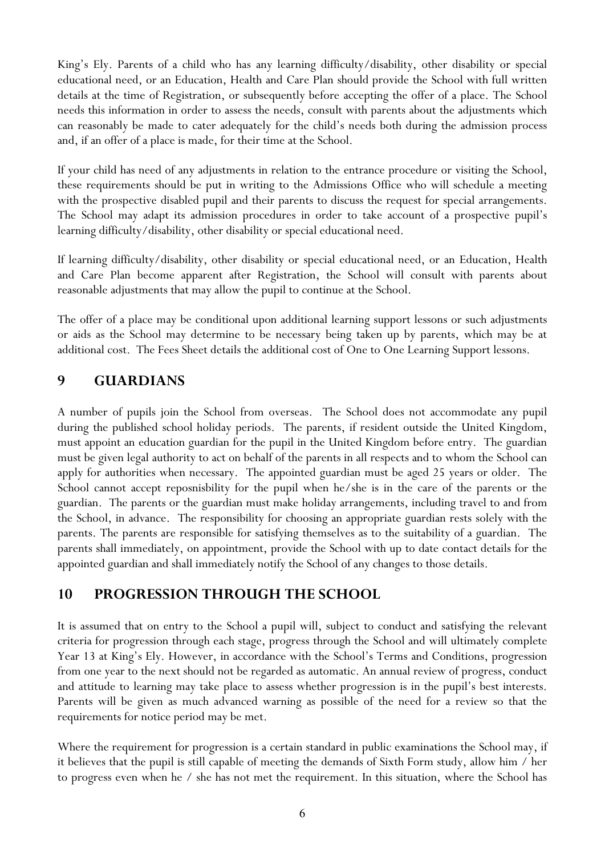King's Ely. Parents of a child who has any learning difficulty/disability, other disability or special educational need, or an Education, Health and Care Plan should provide the School with full written details at the time of Registration, or subsequently before accepting the offer of a place. The School needs this information in order to assess the needs, consult with parents about the adjustments which can reasonably be made to cater adequately for the child's needs both during the admission process and, if an offer of a place is made, for their time at the School.

If your child has need of any adjustments in relation to the entrance procedure or visiting the School, these requirements should be put in writing to the Admissions Office who will schedule a meeting with the prospective disabled pupil and their parents to discuss the request for special arrangements. The School may adapt its admission procedures in order to take account of a prospective pupil's learning difficulty/disability, other disability or special educational need.

If learning difficulty/disability, other disability or special educational need, or an Education, Health and Care Plan become apparent after Registration, the School will consult with parents about reasonable adjustments that may allow the pupil to continue at the School.

The offer of a place may be conditional upon additional learning support lessons or such adjustments or aids as the School may determine to be necessary being taken up by parents, which may be at additional cost. The Fees Sheet details the additional cost of One to One Learning Support lessons.

### **9 GUARDIANS**

A number of pupils join the School from overseas. The School does not accommodate any pupil during the published school holiday periods. The parents, if resident outside the United Kingdom, must appoint an education guardian for the pupil in the United Kingdom before entry. The guardian must be given legal authority to act on behalf of the parents in all respects and to whom the School can apply for authorities when necessary. The appointed guardian must be aged 25 years or older. The School cannot accept reposnisbility for the pupil when he/she is in the care of the parents or the guardian. The parents or the guardian must make holiday arrangements, including travel to and from the School, in advance. The responsibility for choosing an appropriate guardian rests solely with the parents. The parents are responsible for satisfying themselves as to the suitability of a guardian. The parents shall immediately, on appointment, provide the School with up to date contact details for the appointed guardian and shall immediately notify the School of any changes to those details.

### **10 PROGRESSION THROUGH THE SCHOOL**

It is assumed that on entry to the School a pupil will, subject to conduct and satisfying the relevant criteria for progression through each stage, progress through the School and will ultimately complete Year 13 at King's Ely. However, in accordance with the School's Terms and Conditions, progression from one year to the next should not be regarded as automatic. An annual review of progress, conduct and attitude to learning may take place to assess whether progression is in the pupil's best interests. Parents will be given as much advanced warning as possible of the need for a review so that the requirements for notice period may be met.

Where the requirement for progression is a certain standard in public examinations the School may, if it believes that the pupil is still capable of meeting the demands of Sixth Form study, allow him / her to progress even when he / she has not met the requirement. In this situation, where the School has